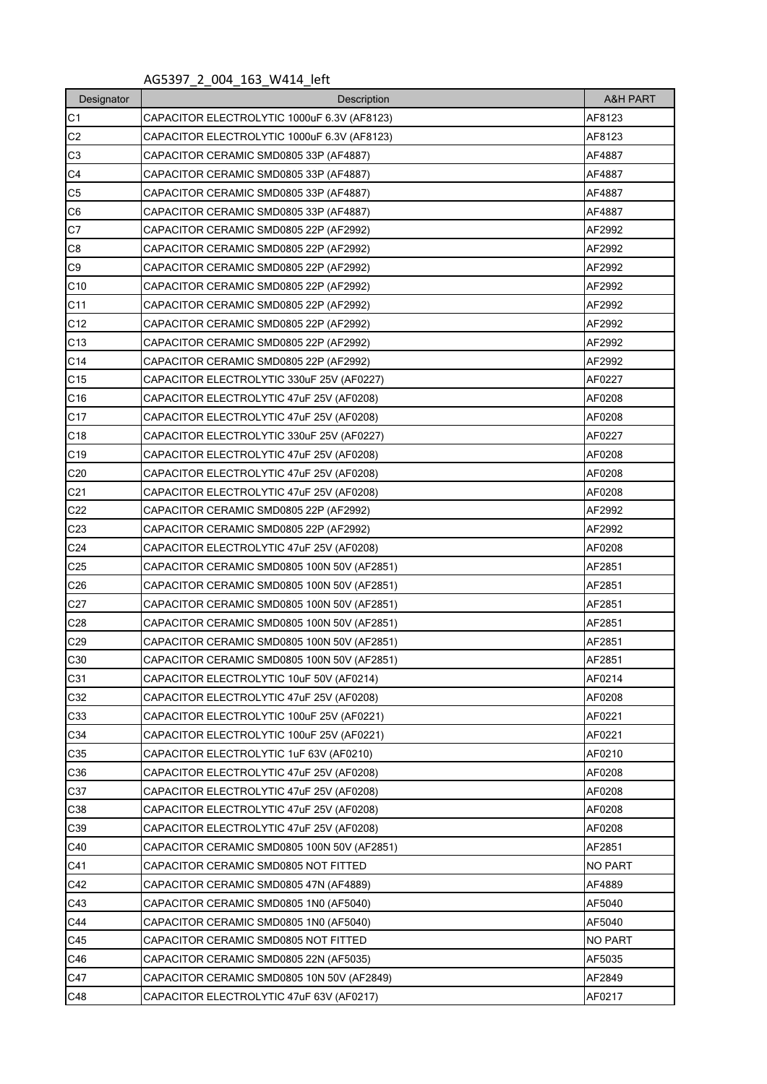AG5397\_2\_004\_163\_W414\_left

| Designator      | Description                                 | A&H PART |
|-----------------|---------------------------------------------|----------|
| C1              | CAPACITOR ELECTROLYTIC 1000uF 6.3V (AF8123) | AF8123   |
| C <sub>2</sub>  | CAPACITOR ELECTROLYTIC 1000uF 6.3V (AF8123) | AF8123   |
| C <sub>3</sub>  | CAPACITOR CERAMIC SMD0805 33P (AF4887)      | AF4887   |
| C <sub>4</sub>  | CAPACITOR CERAMIC SMD0805 33P (AF4887)      | AF4887   |
| C <sub>5</sub>  | CAPACITOR CERAMIC SMD0805 33P (AF4887)      | AF4887   |
| C <sub>6</sub>  | CAPACITOR CERAMIC SMD0805 33P (AF4887)      | AF4887   |
| C7              | CAPACITOR CERAMIC SMD0805 22P (AF2992)      | AF2992   |
| C8              | CAPACITOR CERAMIC SMD0805 22P (AF2992)      | AF2992   |
| C <sub>9</sub>  | CAPACITOR CERAMIC SMD0805 22P (AF2992)      | AF2992   |
| C10             | CAPACITOR CERAMIC SMD0805 22P (AF2992)      | AF2992   |
| C11             | CAPACITOR CERAMIC SMD0805 22P (AF2992)      | AF2992   |
| C <sub>12</sub> | CAPACITOR CERAMIC SMD0805 22P (AF2992)      | AF2992   |
| C <sub>13</sub> | CAPACITOR CERAMIC SMD0805 22P (AF2992)      | AF2992   |
| C14             | CAPACITOR CERAMIC SMD0805 22P (AF2992)      | AF2992   |
| C15             | CAPACITOR ELECTROLYTIC 330uF 25V (AF0227)   | AF0227   |
| C16             | CAPACITOR ELECTROLYTIC 47uF 25V (AF0208)    | AF0208   |
| C <sub>17</sub> | CAPACITOR ELECTROLYTIC 47uF 25V (AF0208)    | AF0208   |
| C18             | CAPACITOR ELECTROLYTIC 330uF 25V (AF0227)   | AF0227   |
| C <sub>19</sub> | CAPACITOR ELECTROLYTIC 47uF 25V (AF0208)    | AF0208   |
| C <sub>20</sub> | CAPACITOR ELECTROLYTIC 47uF 25V (AF0208)    | AF0208   |
| C <sub>21</sub> | CAPACITOR ELECTROLYTIC 47uF 25V (AF0208)    | AF0208   |
| C <sub>22</sub> | CAPACITOR CERAMIC SMD0805 22P (AF2992)      | AF2992   |
| C <sub>23</sub> | CAPACITOR CERAMIC SMD0805 22P (AF2992)      | AF2992   |
| C <sub>24</sub> | CAPACITOR ELECTROLYTIC 47uF 25V (AF0208)    | AF0208   |
| C <sub>25</sub> | CAPACITOR CERAMIC SMD0805 100N 50V (AF2851) | AF2851   |
| C <sub>26</sub> | CAPACITOR CERAMIC SMD0805 100N 50V (AF2851) | AF2851   |
| C <sub>27</sub> | CAPACITOR CERAMIC SMD0805 100N 50V (AF2851) | AF2851   |
| C <sub>28</sub> | CAPACITOR CERAMIC SMD0805 100N 50V (AF2851) | AF2851   |
| C <sub>29</sub> | CAPACITOR CERAMIC SMD0805 100N 50V (AF2851) | AF2851   |
| C30             | CAPACITOR CERAMIC SMD0805 100N 50V (AF2851) | AF2851   |
| C31             | CAPACITOR ELECTROLYTIC 10uF 50V (AF0214)    | AF0214   |
| C32             | CAPACITOR ELECTROLYTIC 47uF 25V (AF0208)    | AF0208   |
| C33             | CAPACITOR ELECTROLYTIC 100uF 25V (AF0221)   | AF0221   |
| C34             | CAPACITOR ELECTROLYTIC 100uF 25V (AF0221)   | AF0221   |
| C35             | CAPACITOR ELECTROLYTIC 1uF 63V (AF0210)     | AF0210   |
| C36             | CAPACITOR ELECTROLYTIC 47uF 25V (AF0208)    | AF0208   |
| C37             | CAPACITOR ELECTROLYTIC 47uF 25V (AF0208)    | AF0208   |
| C38             | CAPACITOR ELECTROLYTIC 47uF 25V (AF0208)    | AF0208   |
| C39             | CAPACITOR ELECTROLYTIC 47uF 25V (AF0208)    | AF0208   |
| C40             | CAPACITOR CERAMIC SMD0805 100N 50V (AF2851) | AF2851   |
| C41             | CAPACITOR CERAMIC SMD0805 NOT FITTED        | NO PART  |
| C42             | CAPACITOR CERAMIC SMD0805 47N (AF4889)      | AF4889   |
| C43             | CAPACITOR CERAMIC SMD0805 1N0 (AF5040)      | AF5040   |
| C44             | CAPACITOR CERAMIC SMD0805 1N0 (AF5040)      | AF5040   |
| C45             | CAPACITOR CERAMIC SMD0805 NOT FITTED        | NO PART  |
| C46             | CAPACITOR CERAMIC SMD0805 22N (AF5035)      | AF5035   |
| C47             | CAPACITOR CERAMIC SMD0805 10N 50V (AF2849)  | AF2849   |
| C48             | CAPACITOR ELECTROLYTIC 47uF 63V (AF0217)    | AF0217   |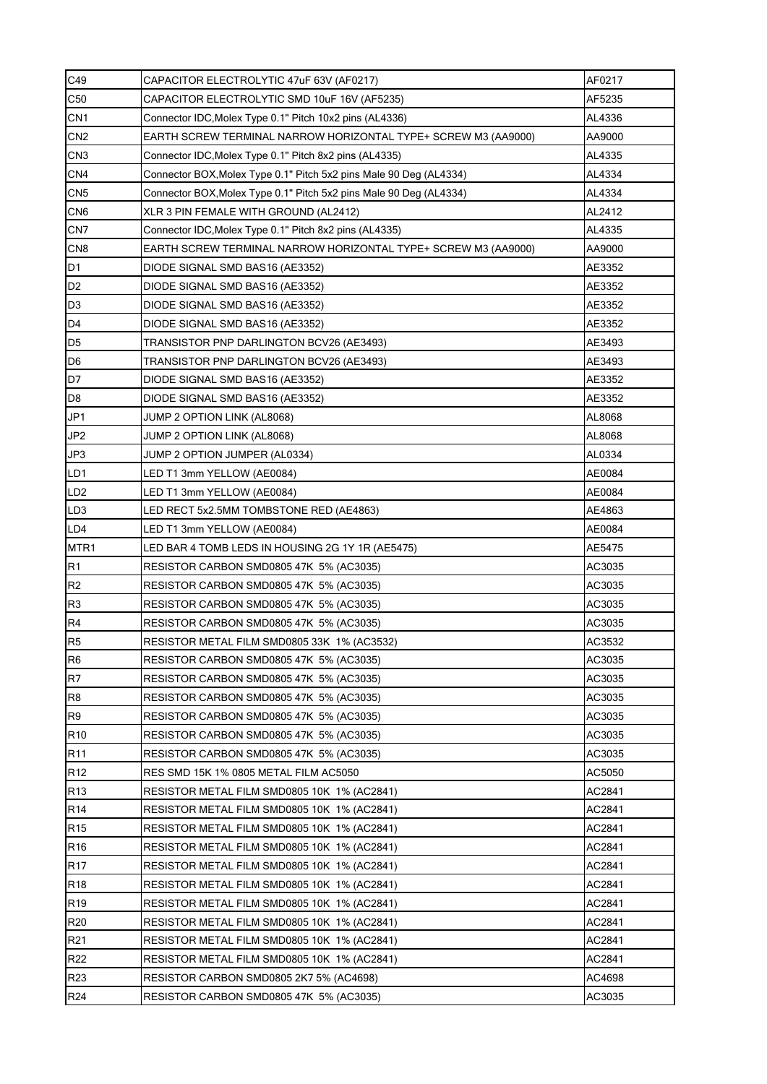| C49             | CAPACITOR ELECTROLYTIC 47uF 63V (AF0217)                           | AF0217 |
|-----------------|--------------------------------------------------------------------|--------|
| C <sub>50</sub> | CAPACITOR ELECTROLYTIC SMD 10uF 16V (AF5235)                       | AF5235 |
| CN <sub>1</sub> | Connector IDC, Molex Type 0.1" Pitch 10x2 pins (AL4336)            | AL4336 |
| CN <sub>2</sub> | EARTH SCREW TERMINAL NARROW HORIZONTAL TYPE+ SCREW M3 (AA9000)     | AA9000 |
| CN <sub>3</sub> | Connector IDC, Molex Type 0.1" Pitch 8x2 pins (AL4335)             | AL4335 |
| CN <sub>4</sub> | Connector BOX, Molex Type 0.1" Pitch 5x2 pins Male 90 Deg (AL4334) | AL4334 |
| CN <sub>5</sub> | Connector BOX, Molex Type 0.1" Pitch 5x2 pins Male 90 Deg (AL4334) | AL4334 |
| CN <sub>6</sub> | XLR 3 PIN FEMALE WITH GROUND (AL2412)                              | AL2412 |
| CN7             | Connector IDC, Molex Type 0.1" Pitch 8x2 pins (AL4335)             | AL4335 |
| CN <sub>8</sub> | EARTH SCREW TERMINAL NARROW HORIZONTAL TYPE+ SCREW M3 (AA9000)     | AA9000 |
| D <sub>1</sub>  | DIODE SIGNAL SMD BAS16 (AE3352)                                    | AE3352 |
| D <sub>2</sub>  | DIODE SIGNAL SMD BAS16 (AE3352)                                    | AE3352 |
| D <sub>3</sub>  | DIODE SIGNAL SMD BAS16 (AE3352)                                    | AE3352 |
| D4              | DIODE SIGNAL SMD BAS16 (AE3352)                                    | AE3352 |
| D <sub>5</sub>  | TRANSISTOR PNP DARLINGTON BCV26 (AE3493)                           | AE3493 |
| D <sub>6</sub>  | TRANSISTOR PNP DARLINGTON BCV26 (AE3493)                           | AE3493 |
| D7              | DIODE SIGNAL SMD BAS16 (AE3352)                                    | AE3352 |
| D <sub>8</sub>  | DIODE SIGNAL SMD BAS16 (AE3352)                                    | AE3352 |
| JP1             | JUMP 2 OPTION LINK (AL8068)                                        | AL8068 |
| JP <sub>2</sub> | JUMP 2 OPTION LINK (AL8068)                                        | AL8068 |
| JP3             | JUMP 2 OPTION JUMPER (AL0334)                                      | AL0334 |
| LD1             | LED T1 3mm YELLOW (AE0084)                                         | AE0084 |
| LD <sub>2</sub> | LED T1 3mm YELLOW (AE0084)                                         | AE0084 |
| LD <sub>3</sub> | LED RECT 5x2.5MM TOMBSTONE RED (AE4863)                            | AE4863 |
| LD4             | LED T1 3mm YELLOW (AE0084)                                         | AE0084 |
| MTR1            | LED BAR 4 TOMB LEDS IN HOUSING 2G 1Y 1R (AE5475)                   | AE5475 |
| R1              | RESISTOR CARBON SMD0805 47K 5% (AC3035)                            | AC3035 |
| R <sub>2</sub>  | RESISTOR CARBON SMD0805 47K 5% (AC3035)                            | AC3035 |
| R <sub>3</sub>  | RESISTOR CARBON SMD0805 47K 5% (AC3035)                            | AC3035 |
| R <sub>4</sub>  | RESISTOR CARBON SMD0805 47K 5% (AC3035)                            | AC3035 |
| R <sub>5</sub>  | RESISTOR METAL FILM SMD0805 33K 1% (AC3532)                        | AC3532 |
| R <sub>6</sub>  | RESISTOR CARBON SMD0805 47K 5% (AC3035)                            | AC3035 |
| R7              | RESISTOR CARBON SMD0805 47K 5% (AC3035)                            | AC3035 |
| R <sub>8</sub>  | RESISTOR CARBON SMD0805 47K 5% (AC3035)                            | AC3035 |
| R <sub>9</sub>  | RESISTOR CARBON SMD0805 47K 5% (AC3035)                            | AC3035 |
| R <sub>10</sub> |                                                                    |        |
|                 | RESISTOR CARBON SMD0805 47K 5% (AC3035)                            | AC3035 |
| R <sub>11</sub> | RESISTOR CARBON SMD0805 47K 5% (AC3035)                            | AC3035 |
| R <sub>12</sub> | RES SMD 15K 1% 0805 METAL FILM AC5050                              | AC5050 |
| R <sub>13</sub> | RESISTOR METAL FILM SMD0805 10K 1% (AC2841)                        | AC2841 |
| R <sub>14</sub> | RESISTOR METAL FILM SMD0805 10K 1% (AC2841)                        | AC2841 |
| R <sub>15</sub> | RESISTOR METAL FILM SMD0805 10K 1% (AC2841)                        | AC2841 |
| R <sub>16</sub> | RESISTOR METAL FILM SMD0805 10K 1% (AC2841)                        | AC2841 |
| R <sub>17</sub> | RESISTOR METAL FILM SMD0805 10K 1% (AC2841)                        | AC2841 |
| R <sub>18</sub> | RESISTOR METAL FILM SMD0805 10K 1% (AC2841)                        | AC2841 |
| R <sub>19</sub> | RESISTOR METAL FILM SMD0805 10K 1% (AC2841)                        | AC2841 |
| R <sub>20</sub> | RESISTOR METAL FILM SMD0805 10K 1% (AC2841)                        | AC2841 |
| R <sub>21</sub> | RESISTOR METAL FILM SMD0805 10K 1% (AC2841)                        | AC2841 |
| R <sub>22</sub> | RESISTOR METAL FILM SMD0805 10K 1% (AC2841)                        | AC2841 |
| R <sub>23</sub> | RESISTOR CARBON SMD0805 2K7 5% (AC4698)                            | AC4698 |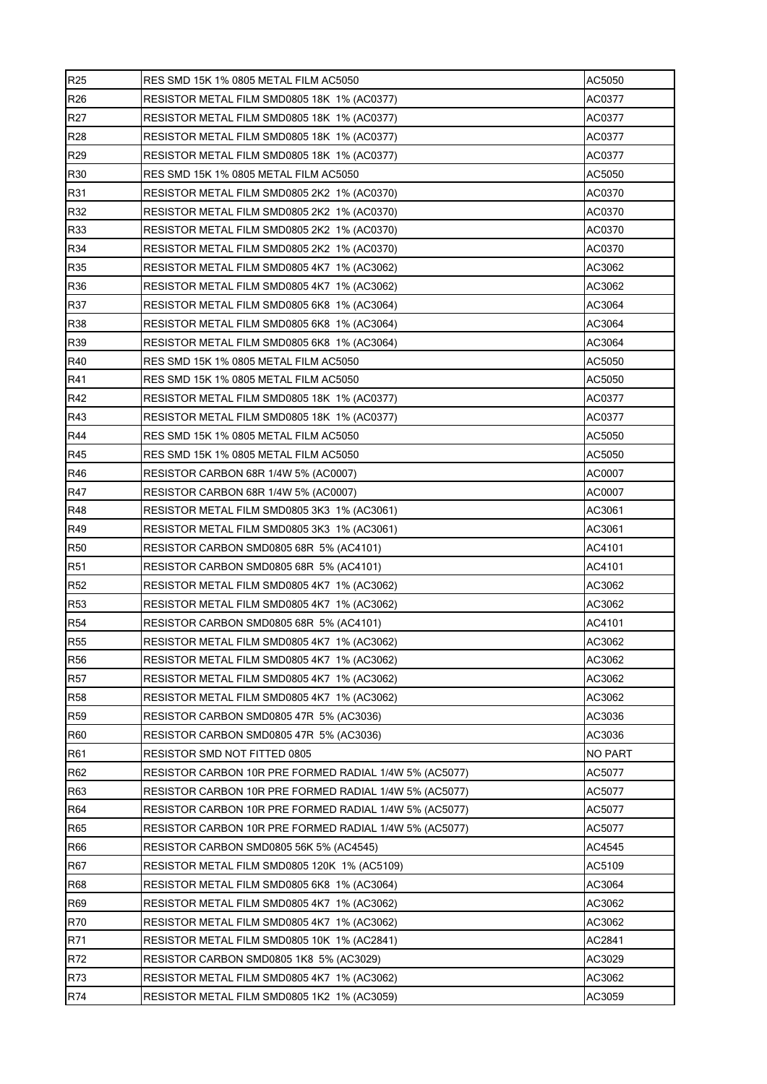| R <sub>25</sub> | RES SMD 15K 1% 0805 METAL FILM AC5050                  | AC5050  |  |  |  |
|-----------------|--------------------------------------------------------|---------|--|--|--|
| R <sub>26</sub> | RESISTOR METAL FILM SMD0805 18K 1% (AC0377)            |         |  |  |  |
| R <sub>27</sub> | RESISTOR METAL FILM SMD0805 18K 1% (AC0377)            | AC0377  |  |  |  |
| R <sub>28</sub> | RESISTOR METAL FILM SMD0805 18K 1% (AC0377)            | AC0377  |  |  |  |
| R29             | RESISTOR METAL FILM SMD0805 18K 1% (AC0377)            | AC0377  |  |  |  |
| R30             | RES SMD 15K 1% 0805 METAL FILM AC5050                  | AC5050  |  |  |  |
| R31             | RESISTOR METAL FILM SMD0805 2K2 1% (AC0370)            | AC0370  |  |  |  |
| R32             | RESISTOR METAL FILM SMD0805 2K2 1% (AC0370)            | AC0370  |  |  |  |
| R33             | RESISTOR METAL FILM SMD0805 2K2 1% (AC0370)            | AC0370  |  |  |  |
| R34             | RESISTOR METAL FILM SMD0805 2K2 1% (AC0370)            | AC0370  |  |  |  |
| R35             | RESISTOR METAL FILM SMD0805 4K7 1% (AC3062)            | AC3062  |  |  |  |
| R36             | RESISTOR METAL FILM SMD0805 4K7 1% (AC3062)            | AC3062  |  |  |  |
| R37             | RESISTOR METAL FILM SMD0805 6K8 1% (AC3064)            | AC3064  |  |  |  |
| R38             | RESISTOR METAL FILM SMD0805 6K8 1% (AC3064)            | AC3064  |  |  |  |
| R39             | RESISTOR METAL FILM SMD0805 6K8 1% (AC3064)            | AC3064  |  |  |  |
| R40             | RES SMD 15K 1% 0805 METAL FILM AC5050                  | AC5050  |  |  |  |
| R41             | RES SMD 15K 1% 0805 METAL FILM AC5050                  | AC5050  |  |  |  |
| R42             | RESISTOR METAL FILM SMD0805 18K 1% (AC0377)            | AC0377  |  |  |  |
| R43             | RESISTOR METAL FILM SMD0805 18K 1% (AC0377)            | AC0377  |  |  |  |
| R44             | RES SMD 15K 1% 0805 METAL FILM AC5050                  | AC5050  |  |  |  |
| R45             | RES SMD 15K 1% 0805 METAL FILM AC5050                  | AC5050  |  |  |  |
| R46             | RESISTOR CARBON 68R 1/4W 5% (AC0007)                   | AC0007  |  |  |  |
| R47             | RESISTOR CARBON 68R 1/4W 5% (AC0007)                   | AC0007  |  |  |  |
| <b>R48</b>      | RESISTOR METAL FILM SMD0805 3K3 1% (AC3061)            | AC3061  |  |  |  |
| R49             | RESISTOR METAL FILM SMD0805 3K3 1% (AC3061)            | AC3061  |  |  |  |
| <b>R50</b>      | RESISTOR CARBON SMD0805 68R 5% (AC4101)                | AC4101  |  |  |  |
| <b>R51</b>      | RESISTOR CARBON SMD0805 68R 5% (AC4101)                | AC4101  |  |  |  |
| R <sub>52</sub> | RESISTOR METAL FILM SMD0805 4K7 1% (AC3062)            | AC3062  |  |  |  |
| R <sub>53</sub> | AC3062<br>RESISTOR METAL FILM SMD0805 4K7 1% (AC3062)  |         |  |  |  |
| <b>R54</b>      | RESISTOR CARBON SMD0805 68R 5% (AC4101)                | AC4101  |  |  |  |
| <b>R55</b>      | RESISTOR METAL FILM SMD0805 4K7 1% (AC3062)            | AC3062  |  |  |  |
| <b>R56</b>      | RESISTOR METAL FILM SMD0805 4K7 1% (AC3062)            | AC3062  |  |  |  |
| <b>R57</b>      | RESISTOR METAL FILM SMD0805 4K7 1% (AC3062)            | AC3062  |  |  |  |
| <b>R58</b>      | RESISTOR METAL FILM SMD0805 4K7 1% (AC3062)            | AC3062  |  |  |  |
| R <sub>59</sub> | RESISTOR CARBON SMD0805 47R 5% (AC3036)                | AC3036  |  |  |  |
| <b>R60</b>      | RESISTOR CARBON SMD0805 47R 5% (AC3036)                | AC3036  |  |  |  |
| R61             | RESISTOR SMD NOT FITTED 0805                           | NO PART |  |  |  |
| R62             | RESISTOR CARBON 10R PRE FORMED RADIAL 1/4W 5% (AC5077) | AC5077  |  |  |  |
| R63             | RESISTOR CARBON 10R PRE FORMED RADIAL 1/4W 5% (AC5077) | AC5077  |  |  |  |
| R64             | RESISTOR CARBON 10R PRE FORMED RADIAL 1/4W 5% (AC5077) | AC5077  |  |  |  |
| R65             | RESISTOR CARBON 10R PRE FORMED RADIAL 1/4W 5% (AC5077) | AC5077  |  |  |  |
| R66             | <b>RESISTOR CARBON SMD0805 56K 5% (AC4545)</b>         | AC4545  |  |  |  |
| R67             | RESISTOR METAL FILM SMD0805 120K 1% (AC5109)           | AC5109  |  |  |  |
| R68             | RESISTOR METAL FILM SMD0805 6K8 1% (AC3064)            | AC3064  |  |  |  |
| R69             | RESISTOR METAL FILM SMD0805 4K7 1% (AC3062)            | AC3062  |  |  |  |
| R70             | RESISTOR METAL FILM SMD0805 4K7 1% (AC3062)            | AC3062  |  |  |  |
| R71             | RESISTOR METAL FILM SMD0805 10K 1% (AC2841)            | AC2841  |  |  |  |
| R72             | RESISTOR CARBON SMD0805 1K8 5% (AC3029)                | AC3029  |  |  |  |
| R73             | RESISTOR METAL FILM SMD0805 4K7 1% (AC3062)            | AC3062  |  |  |  |
| R74             | RESISTOR METAL FILM SMD0805 1K2 1% (AC3059)            | AC3059  |  |  |  |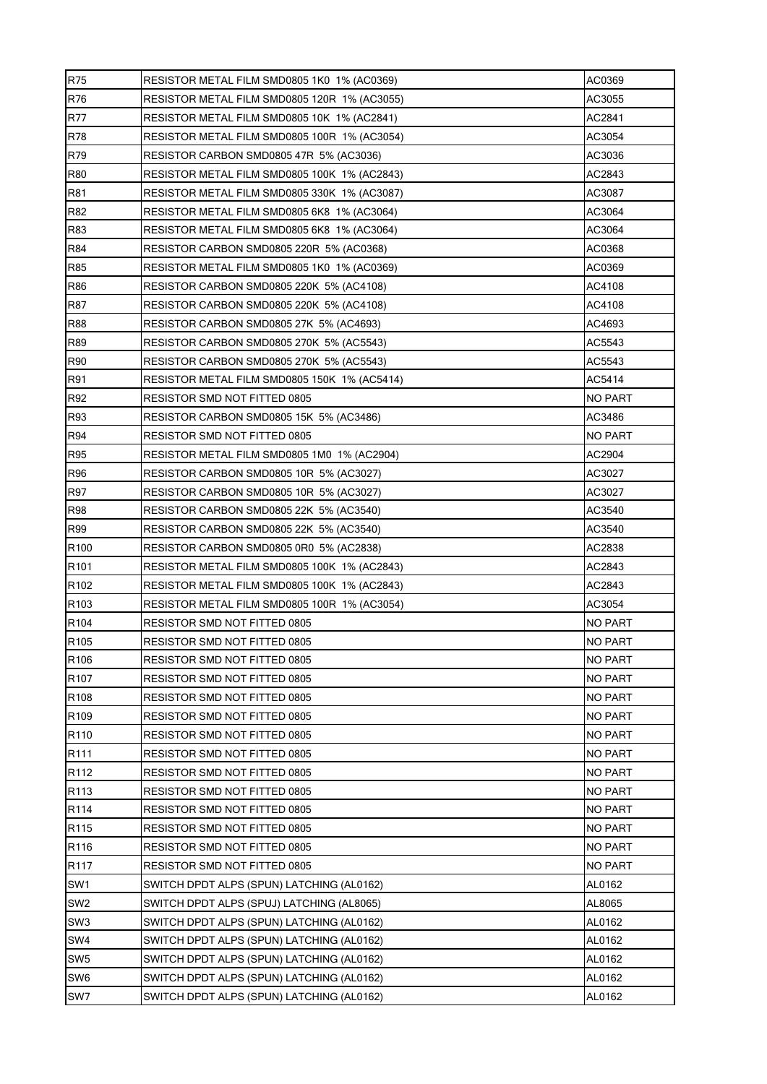| R75              | RESISTOR METAL FILM SMD0805 1K0 1% (AC0369)            | AC0369         |  |  |  |  |
|------------------|--------------------------------------------------------|----------------|--|--|--|--|
| R76              | RESISTOR METAL FILM SMD0805 120R 1% (AC3055)           | AC3055         |  |  |  |  |
| <b>R77</b>       | RESISTOR METAL FILM SMD0805 10K 1% (AC2841)            | AC2841         |  |  |  |  |
| R78              | RESISTOR METAL FILM SMD0805 100R 1% (AC3054)           | AC3054         |  |  |  |  |
| R79              | RESISTOR CARBON SMD0805 47R 5% (AC3036)                | AC3036         |  |  |  |  |
| <b>R80</b>       | RESISTOR METAL FILM SMD0805 100K_1% (AC2843)<br>AC2843 |                |  |  |  |  |
| R81              | RESISTOR METAL FILM SMD0805 330K 1% (AC3087)           | AC3087         |  |  |  |  |
| R82              | RESISTOR METAL FILM SMD0805 6K8 1% (AC3064)            | AC3064         |  |  |  |  |
| R83              | RESISTOR METAL FILM SMD0805 6K8 1% (AC3064)            |                |  |  |  |  |
| R84              | RESISTOR CARBON SMD0805 220R 5% (AC0368)               | AC0368         |  |  |  |  |
| R85              | RESISTOR METAL FILM SMD0805 1K0 1% (AC0369)            | AC0369         |  |  |  |  |
| <b>R86</b>       | RESISTOR CARBON SMD0805 220K 5% (AC4108)               | AC4108         |  |  |  |  |
| R87              | RESISTOR CARBON SMD0805 220K 5% (AC4108)               | AC4108         |  |  |  |  |
| <b>R88</b>       | RESISTOR CARBON SMD0805 27K 5% (AC4693)                | AC4693         |  |  |  |  |
| R89              | RESISTOR CARBON SMD0805 270K 5% (AC5543)               | AC5543         |  |  |  |  |
| <b>R90</b>       | RESISTOR CARBON SMD0805 270K 5% (AC5543)               | AC5543         |  |  |  |  |
| R91              | RESISTOR METAL FILM SMD0805 150K 1% (AC5414)           | AC5414         |  |  |  |  |
| R92              | RESISTOR SMD NOT FITTED 0805                           | NO PART        |  |  |  |  |
| R93              | RESISTOR CARBON SMD0805 15K 5% (AC3486)                | AC3486         |  |  |  |  |
| R94              | RESISTOR SMD NOT FITTED 0805                           | NO PART        |  |  |  |  |
| R95              | RESISTOR METAL FILM SMD0805 1M0 1% (AC2904)            | AC2904         |  |  |  |  |
| R96              | RESISTOR CARBON SMD0805 10R 5% (AC3027)                | AC3027         |  |  |  |  |
| R97              | RESISTOR CARBON SMD0805 10R 5% (AC3027)                | AC3027         |  |  |  |  |
| <b>R98</b>       | RESISTOR CARBON SMD0805 22K 5% (AC3540)                | AC3540         |  |  |  |  |
| R99              | RESISTOR CARBON SMD0805 22K 5% (AC3540)                | AC3540         |  |  |  |  |
| R <sub>100</sub> | RESISTOR CARBON SMD0805 0R0 5% (AC2838)                | AC2838         |  |  |  |  |
| R <sub>101</sub> | RESISTOR METAL FILM SMD0805 100K 1% (AC2843)           | AC2843         |  |  |  |  |
| R <sub>102</sub> | RESISTOR METAL FILM SMD0805 100K 1% (AC2843)           | AC2843         |  |  |  |  |
| R103             | RESISTOR METAL FILM SMD0805 100R 1% (AC3054)           | AC3054         |  |  |  |  |
| R <sub>104</sub> | RESISTOR SMD NOT FITTED 0805                           | NO PART        |  |  |  |  |
| R <sub>105</sub> | RESISTOR SMD NOT FITTED 0805                           | <b>NO PART</b> |  |  |  |  |
| R106             | RESISTOR SMD NOT FITTED 0805                           | <b>NO PART</b> |  |  |  |  |
| R <sub>107</sub> | RESISTOR SMD NOT FITTED 0805                           | NO PART        |  |  |  |  |
| R108             | RESISTOR SMD NOT FITTED 0805                           | NO PART        |  |  |  |  |
| R109             | RESISTOR SMD NOT FITTED 0805                           | NO PART        |  |  |  |  |
| R110             | RESISTOR SMD NOT FITTED 0805                           | NO PART        |  |  |  |  |
| R111             | RESISTOR SMD NOT FITTED 0805                           | NO PART        |  |  |  |  |
| R112             | RESISTOR SMD NOT FITTED 0805                           | NO PART        |  |  |  |  |
| R113             | RESISTOR SMD NOT FITTED 0805                           | NO PART        |  |  |  |  |
| R114             | RESISTOR SMD NOT FITTED 0805                           | NO PART        |  |  |  |  |
| R115             | RESISTOR SMD NOT FITTED 0805                           | NO PART        |  |  |  |  |
| R116             | RESISTOR SMD NOT FITTED 0805                           | NO PART        |  |  |  |  |
| R <sub>117</sub> | RESISTOR SMD NOT FITTED 0805                           | NO PART        |  |  |  |  |
| SW <sub>1</sub>  | SWITCH DPDT ALPS (SPUN) LATCHING (AL0162)              | AL0162         |  |  |  |  |
| SW <sub>2</sub>  | SWITCH DPDT ALPS (SPUJ) LATCHING (AL8065)              | AL8065         |  |  |  |  |
| SW <sub>3</sub>  | SWITCH DPDT ALPS (SPUN) LATCHING (AL0162)              | AL0162         |  |  |  |  |
| SW4              | SWITCH DPDT ALPS (SPUN) LATCHING (AL0162)              | AL0162         |  |  |  |  |
| SW <sub>5</sub>  | SWITCH DPDT ALPS (SPUN) LATCHING (AL0162)              | AL0162         |  |  |  |  |
| SW6              | SWITCH DPDT ALPS (SPUN) LATCHING (AL0162)              | AL0162         |  |  |  |  |
| SW7              | SWITCH DPDT ALPS (SPUN) LATCHING (AL0162)              | AL0162         |  |  |  |  |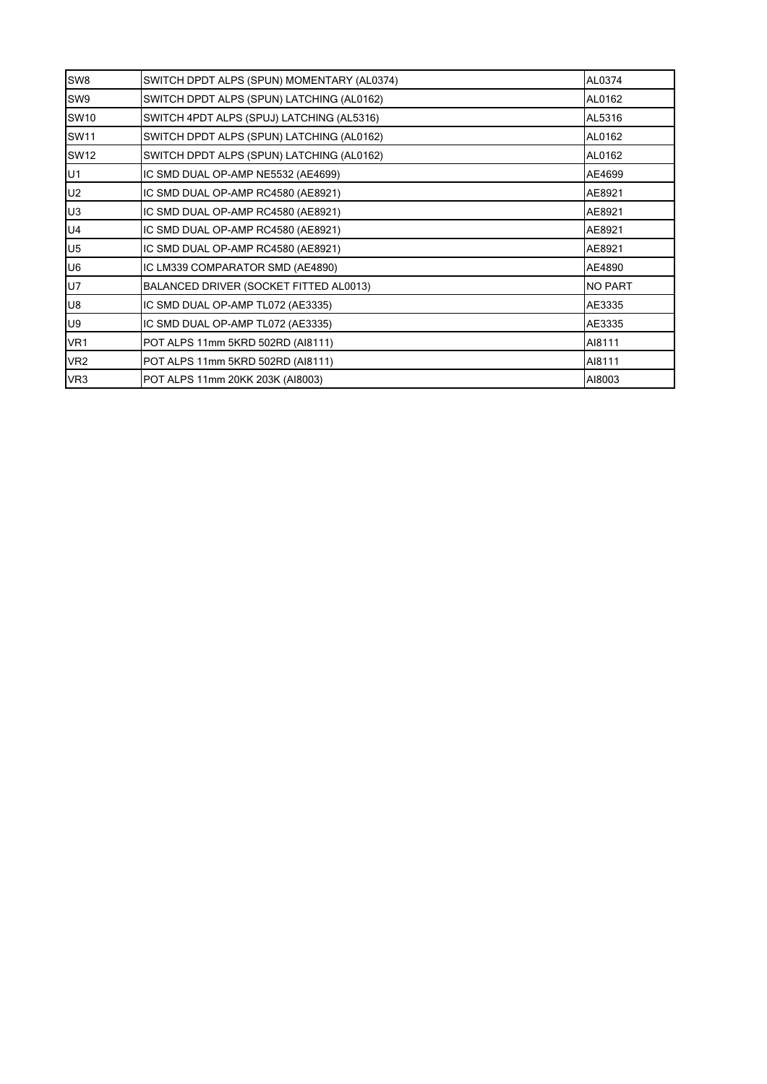| SW8             | SWITCH DPDT ALPS (SPUN) MOMENTARY (AL0374)<br>AL0374 |                |  |  |
|-----------------|------------------------------------------------------|----------------|--|--|
| SW9             | SWITCH DPDT ALPS (SPUN) LATCHING (AL0162)            | AL0162         |  |  |
| <b>SW10</b>     | SWITCH 4PDT ALPS (SPUJ) LATCHING (AL5316)            | AL5316         |  |  |
| <b>SW11</b>     | SWITCH DPDT ALPS (SPUN) LATCHING (AL0162)            | AL0162         |  |  |
| <b>SW12</b>     | SWITCH DPDT ALPS (SPUN) LATCHING (AL0162)            | AL0162         |  |  |
| U1              | IC SMD DUAL OP-AMP NE5532 (AE4699)                   | AE4699         |  |  |
| U2              | IC SMD DUAL OP-AMP RC4580 (AE8921)                   | AE8921         |  |  |
| U <sub>3</sub>  | IC SMD DUAL OP-AMP RC4580 (AE8921)                   | AE8921         |  |  |
| U <sub>4</sub>  | IC SMD DUAL OP-AMP RC4580 (AE8921)                   | AE8921         |  |  |
| U <sub>5</sub>  | IC SMD DUAL OP-AMP RC4580 (AE8921)                   | AE8921         |  |  |
| U6              | IC LM339 COMPARATOR SMD (AE4890)                     | AE4890         |  |  |
| U7              | BALANCED DRIVER (SOCKET FITTED AL0013)               | <b>NO PART</b> |  |  |
| <b>U8</b>       | IC SMD DUAL OP-AMP TL072 (AE3335)                    | AE3335         |  |  |
| U9              | IC SMD DUAL OP-AMP TL072 (AE3335)                    | AE3335         |  |  |
| VR1             | POT ALPS 11mm 5KRD 502RD (AI8111)                    | AI8111         |  |  |
| VR <sub>2</sub> | POT ALPS 11mm 5KRD 502RD (AI8111)                    | AI8111         |  |  |
| VR <sub>3</sub> | POT ALPS 11mm 20KK 203K (AI8003)                     | AI8003         |  |  |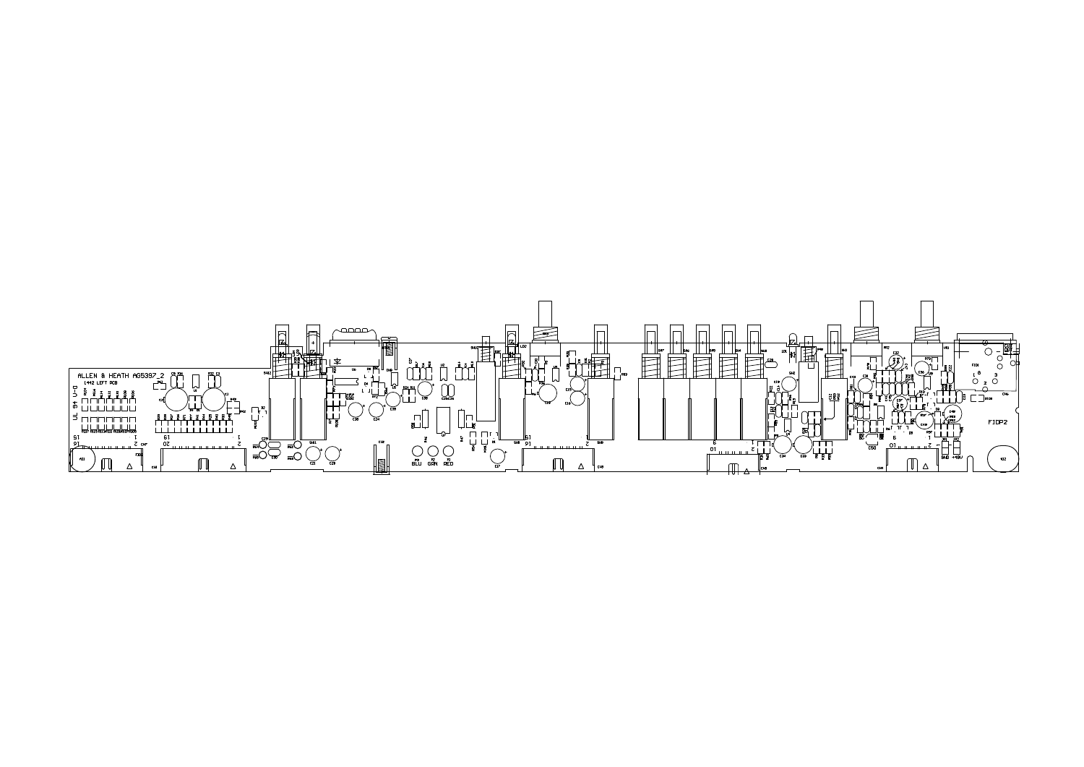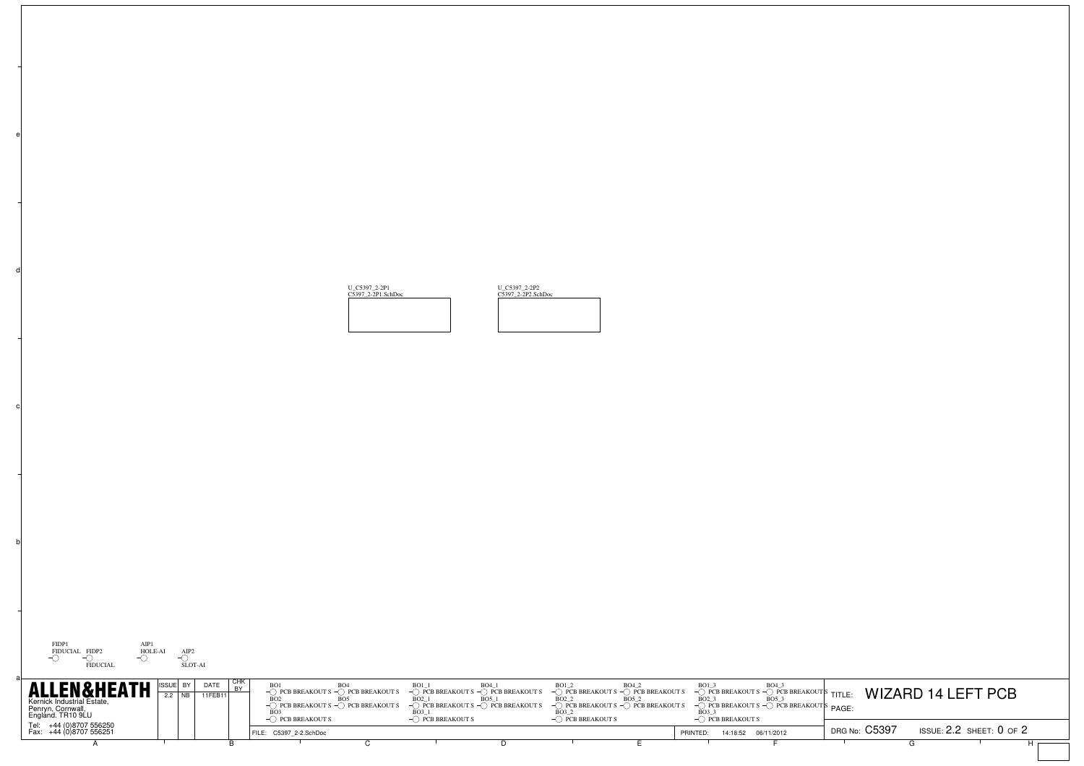U\_C5397\_2-2P1 C5397\_2-2P1.SchDoc

U\_C5397\_2-2P2 C5397\_2-2P2.SchDoc



b

c

d

| <b>ALLEN&amp;HEATH</b><br>DATE<br>11FFB11<br>Kernick Industrial Estate,<br>Penryn, Cornwall,<br>England. TR10 9LU | $\sim$ PCB BREAKOUT S $\sim$ PCB BREAKOUT S $\sim$ PCB BREAKOUT S $\sim$ PCB BREAKOUT S $\sim$ PCB BREAKOUT S $\sim$ PCB BREAKOUT S<br>◯ PCB BREAKOUT S | PCB BREAKOUT S | PCB BREAKOUT S | $\sim$ $\sim$ $\sim$ $\sim$ PCB BREAKOUT S $\sim$ PCB BREAKOUTS PAGE:<br>C PCB BREAKOUT S | $\frac{1}{20}$ or breakouts $\frac{1}{20}$ or breakouts $\frac{1}{20}$ for breakouts $\frac{1}{20}$ for breakouts $\frac{1}{20}$ for the breakouts $\frac{1}{20}$ for breakouts $\frac{1}{20}$ for a breakouts $\frac{1}{20}$ for a breakouts $\frac{1}{20}$ for |  |
|-------------------------------------------------------------------------------------------------------------------|---------------------------------------------------------------------------------------------------------------------------------------------------------|----------------|----------------|-------------------------------------------------------------------------------------------|------------------------------------------------------------------------------------------------------------------------------------------------------------------------------------------------------------------------------------------------------------------|--|
| Tel: +44 (0)8707 556250<br>Fax: +44 (0)8707 556251                                                                | FILE: C5397 2-2.SchDoc                                                                                                                                  |                |                | PRINTED:<br>14:18:52 06/11/2012                                                           | DRG No: C5397<br>ISSUE: $2.2$ SHEET: $0$ of $2$                                                                                                                                                                                                                  |  |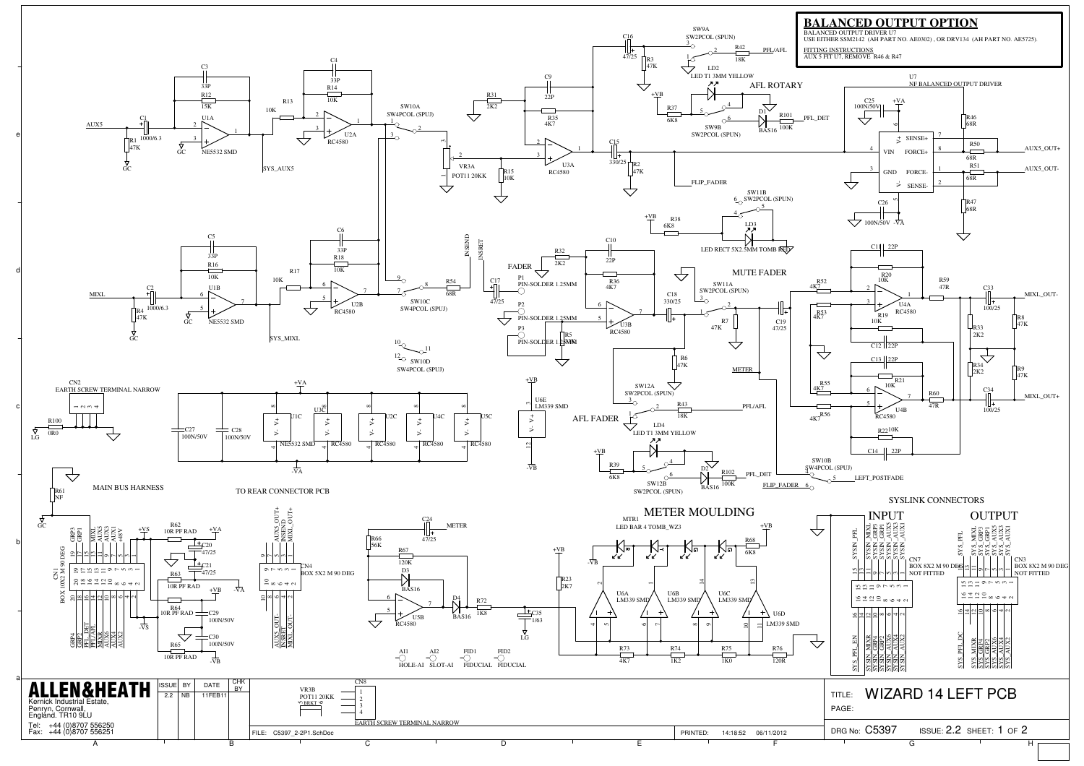